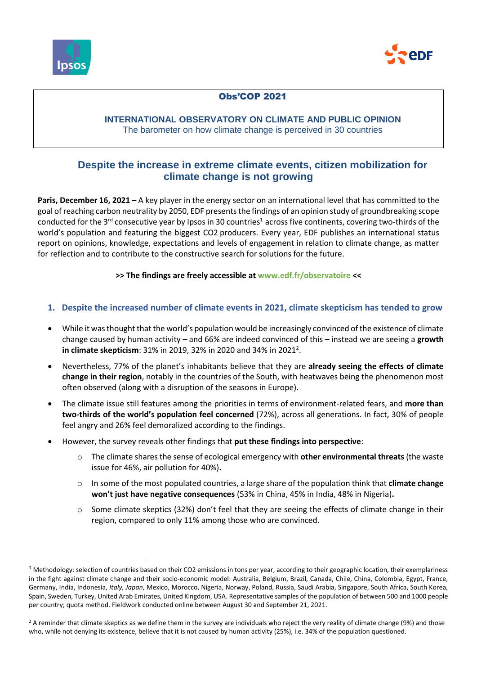

1



## Obs'COP 2021

### **INTERNATIONAL OBSERVATORY ON CLIMATE AND PUBLIC OPINION** The barometer on how climate change is perceived in 30 countries

# **Despite the increase in extreme climate events, citizen mobilization for climate change is not growing**

**Paris, December 16, 2021** – A key player in the energy sector on an international level that has committed to the goal of reaching carbon neutrality by 2050, EDF presentsthe findings of an opinion study of groundbreaking scope conducted for the  $3^{rd}$  consecutive year by Ipsos in 30 countries<sup>1</sup> across five continents, covering two-thirds of the world's population and featuring the biggest CO2 producers. Every year, EDF publishes an international status report on opinions, knowledge, expectations and levels of engagement in relation to climate change, as matter for reflection and to contribute to the constructive search for solutions for the future.

### **>> The findings are freely accessible at [www.edf.fr/observatoire](http://www.edf.fr/observatoire-opinion-rechauffement-climatique) <<**

- **1. Despite the increased number of climate events in 2021, climate skepticism has tended to grow**
- While it was thought that the world's population would be increasingly convinced of the existence of climate change caused by human activity – and 66% are indeed convinced of this – instead we are seeing a **growth in climate skepticism**: 31% in 2019, 32% in 2020 and 34% in 2021<sup>2</sup>.
- Nevertheless, 77% of the planet's inhabitants believe that they are **already seeing the effects of climate change in their region**, notably in the countries of the South, with heatwaves being the phenomenon most often observed (along with a disruption of the seasons in Europe).
- The climate issue still features among the priorities in terms of environment-related fears, and **more than two-thirds of the world's population feel concerned** (72%), across all generations. In fact, 30% of people feel angry and 26% feel demoralized according to the findings.
- However, the survey reveals other findings that **put these findings into perspective**:
	- o The climate shares the sense of ecological emergency with **other environmental threats** (the waste issue for 46%, air pollution for 40%)**.**
	- o In some of the most populated countries, a large share of the population think that **climate change won't just have negative consequences** (53% in China, 45% in India, 48% in Nigeria)**.**
	- $\circ$  Some climate skeptics (32%) don't feel that they are seeing the effects of climate change in their region, compared to only 11% among those who are convinced.

 $1$  Methodology: selection of countries based on their CO2 emissions in tons per year, according to their geographic location, their exemplariness in the fight against climate change and their socio-economic model: Australia, Belgium, Brazil, Canada, Chile, China, Colombia, Egypt, France, Germany, India, Indonesia, *Italy, Japan*, Mexico, Morocco, Nigeria, Norway, Poland, Russia, Saudi Arabia, Singapore, South Africa, South Korea, Spain, Sweden, Turkey, United Arab Emirates, United Kingdom, USA. Representative samples of the population of between 500 and 1000 people per country; quota method. Fieldwork conducted online between August 30 and September 21, 2021.

<sup>&</sup>lt;sup>2</sup> A reminder that climate skeptics as we define them in the survey are individuals who reject the very reality of climate change (9%) and those who, while not denying its existence, believe that it is not caused by human activity (25%), i.e. 34% of the population questioned.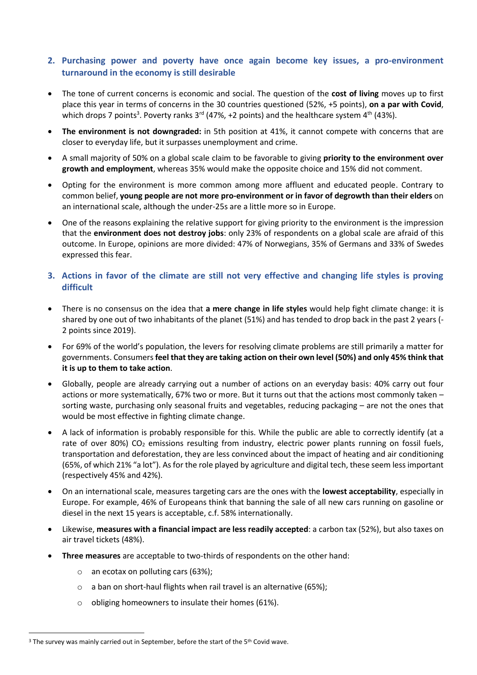## **2. Purchasing power and poverty have once again become key issues, a pro-environment turnaround in the economy is still desirable**

- The tone of current concerns is economic and social. The question of the **cost of living** moves up to first place this year in terms of concerns in the 30 countries questioned (52%, +5 points), **on a par with Covid**, which drops 7 points<sup>3</sup>. Poverty ranks  $3^{rd}$  (47%, +2 points) and the healthcare system  $4^{th}$  (43%).
- **The environment is not downgraded:** in 5th position at 41%, it cannot compete with concerns that are closer to everyday life, but it surpasses unemployment and crime.
- A small majority of 50% on a global scale claim to be favorable to giving **priority to the environment over growth and employment**, whereas 35% would make the opposite choice and 15% did not comment.
- Opting for the environment is more common among more affluent and educated people. Contrary to common belief, **young people are not more pro-environment or in favor of degrowth than their elders** on an international scale, although the under-25s are a little more so in Europe.
- One of the reasons explaining the relative support for giving priority to the environment is the impression that the **environment does not destroy jobs**: only 23% of respondents on a global scale are afraid of this outcome. In Europe, opinions are more divided: 47% of Norwegians, 35% of Germans and 33% of Swedes expressed this fear.
- **3. Actions in favor of the climate are still not very effective and changing life styles is proving difficult**
- There is no consensus on the idea that **a mere change in life styles** would help fight climate change: it is shared by one out of two inhabitants of the planet (51%) and has tended to drop back in the past 2 years (- 2 points since 2019).
- For 69% of the world's population, the levers for resolving climate problems are still primarily a matter for governments. Consumers **feel that they are taking action on their own level (50%) and only 45% think that it is up to them to take action**.
- Globally, people are already carrying out a number of actions on an everyday basis: 40% carry out four actions or more systematically, 67% two or more. But it turns out that the actions most commonly taken – sorting waste, purchasing only seasonal fruits and vegetables, reducing packaging – are not the ones that would be most effective in fighting climate change.
- A lack of information is probably responsible for this. While the public are able to correctly identify (at a rate of over 80%) CO<sub>2</sub> emissions resulting from industry, electric power plants running on fossil fuels, transportation and deforestation, they are less convinced about the impact of heating and air conditioning (65%, of which 21% "a lot"). As for the role played by agriculture and digital tech, these seem less important (respectively 45% and 42%).
- On an international scale, measures targeting cars are the ones with the **lowest acceptability**, especially in Europe. For example, 46% of Europeans think that banning the sale of all new cars running on gasoline or diesel in the next 15 years is acceptable, c.f. 58% internationally.
- Likewise, **measures with a financial impact are less readily accepted**: a carbon tax (52%), but also taxes on air travel tickets (48%).
- **Three measures** are acceptable to two-thirds of respondents on the other hand:
	- o an ecotax on polluting cars (63%);

**.** 

- o a ban on short-haul flights when rail travel is an alternative (65%);
- $\circ$  obliging homeowners to insulate their homes (61%).

<sup>&</sup>lt;sup>3</sup> The survey was mainly carried out in September, before the start of the 5<sup>th</sup> Covid wave.